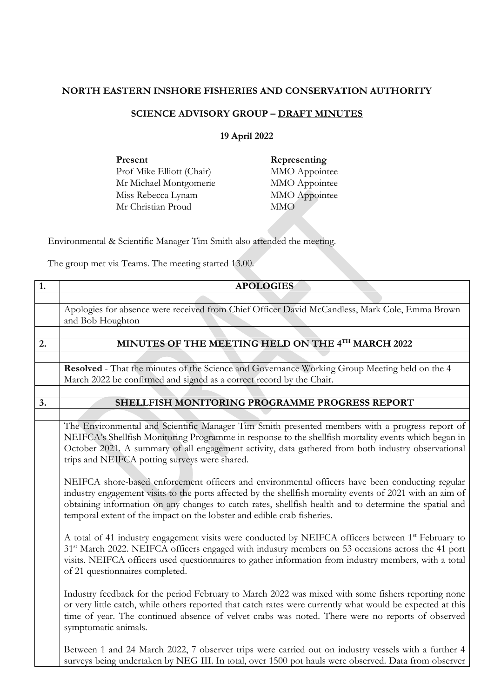## **NORTH EASTERN INSHORE FISHERIES AND CONSERVATION AUTHORITY**

## **SCIENCE ADVISORY GROUP – DRAFT MINUTES**

## **19 April 2022**

| Present                   |
|---------------------------|
| Prof Mike Elliott (Chair) |
| Mr Michael Montgomerie    |
| Miss Rebecca Lynam        |
| Mr Christian Proud        |

**Representing** MMO Appointee MMO Appointee MMO Appointee MMO<sup></sup>

Environmental & Scientific Manager Tim Smith also attended the meeting.

The group met via Teams. The meeting started 13.00.

| 1. | <b>APOLOGIES</b>                                                                                                                                                                                                                                                                                                                                                                                  |
|----|---------------------------------------------------------------------------------------------------------------------------------------------------------------------------------------------------------------------------------------------------------------------------------------------------------------------------------------------------------------------------------------------------|
|    |                                                                                                                                                                                                                                                                                                                                                                                                   |
|    | Apologies for absence were received from Chief Officer David McCandless, Mark Cole, Emma Brown<br>and Bob Houghton                                                                                                                                                                                                                                                                                |
|    |                                                                                                                                                                                                                                                                                                                                                                                                   |
| 2. | MINUTES OF THE MEETING HELD ON THE 4TH MARCH 2022                                                                                                                                                                                                                                                                                                                                                 |
|    |                                                                                                                                                                                                                                                                                                                                                                                                   |
|    | Resolved - That the minutes of the Science and Governance Working Group Meeting held on the 4                                                                                                                                                                                                                                                                                                     |
|    | March 2022 be confirmed and signed as a correct record by the Chair.                                                                                                                                                                                                                                                                                                                              |
|    |                                                                                                                                                                                                                                                                                                                                                                                                   |
| 3. | SHELLFISH MONITORING PROGRAMME PROGRESS REPORT                                                                                                                                                                                                                                                                                                                                                    |
|    |                                                                                                                                                                                                                                                                                                                                                                                                   |
|    | The Environmental and Scientific Manager Tim Smith presented members with a progress report of<br>NEIFCA's Shellfish Monitoring Programme in response to the shellfish mortality events which began in<br>October 2021. A summary of all engagement activity, data gathered from both industry observational<br>trips and NEIFCA potting surveys were shared.                                     |
|    | NEIFCA shore-based enforcement officers and environmental officers have been conducting regular<br>industry engagement visits to the ports affected by the shellfish mortality events of 2021 with an aim of<br>obtaining information on any changes to catch rates, shellfish health and to determine the spatial and<br>temporal extent of the impact on the lobster and edible crab fisheries. |
|    | A total of 41 industry engagement visits were conducted by NEIFCA officers between 1 <sup>st</sup> February to<br>31 <sup>st</sup> March 2022. NEIFCA officers engaged with industry members on 53 occasions across the 41 port<br>visits. NEIFCA officers used questionnaires to gather information from industry members, with a total<br>of 21 questionnaires completed.                       |
|    | Industry feedback for the period February to March 2022 was mixed with some fishers reporting none<br>or very little catch, while others reported that catch rates were currently what would be expected at this<br>time of year. The continued absence of velvet crabs was noted. There were no reports of observed<br>symptomatic animals.                                                      |
|    | Between 1 and 24 March 2022, 7 observer trips were carried out on industry vessels with a further 4<br>surveys being undertaken by NEG III. In total, over 1500 pot hauls were observed. Data from observer                                                                                                                                                                                       |